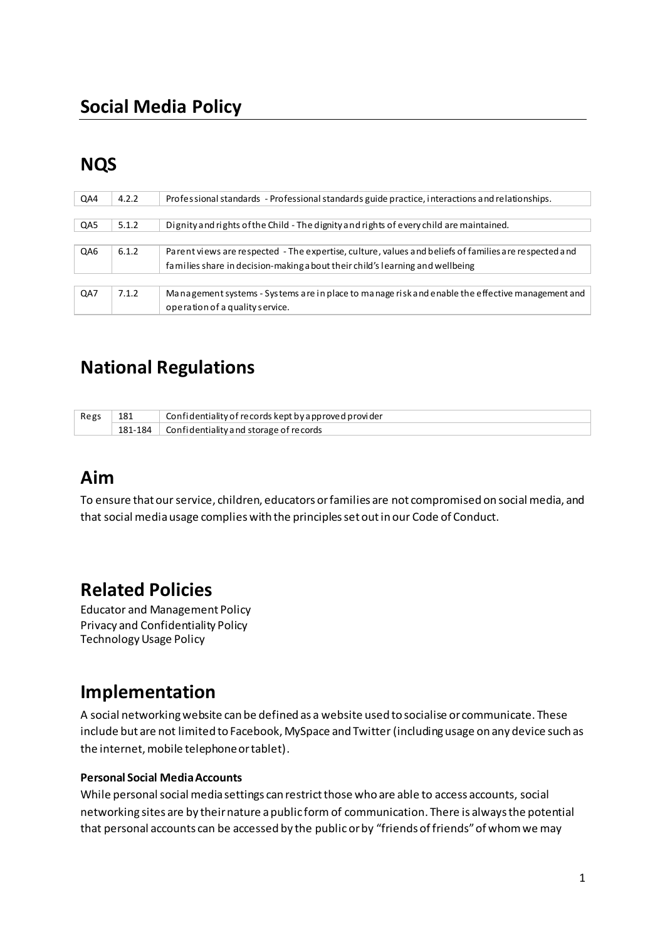# **NQS**

| QA4 | 4.2.2 | Professional standards - Professional standards guide practice, interactions and relationships.       |
|-----|-------|-------------------------------------------------------------------------------------------------------|
|     |       |                                                                                                       |
| QA5 | 5.1.2 | Dignity and rights of the Child - The dignity and rights of every child are maintained.               |
|     |       |                                                                                                       |
| QA6 | 6.1.2 | Parent views are respected - The expertise, culture, values and beliefs of families are respected and |
|     |       | families share in decision-making a bout their child's learning and wellbeing                         |
|     |       |                                                                                                       |
| QA7 | 7.1.2 | Management systems - Systems are in place to manage risk and enable the effective management and      |
|     |       | operation of a quality service.                                                                       |

# **National Regulations**

| Regs | 181 | Confidentiality of records kept by a pproved provider |
|------|-----|-------------------------------------------------------|
|      |     | 181-184 Confidentiality and storage of records        |

## **Aim**

To ensure that our service, children, educators or families are not compromised on social media, and that social media usage complies with the principles set out in our Code of Conduct.

## **Related Policies**

Educator and Management Policy Privacy and Confidentiality Policy Technology Usage Policy

## **Implementation**

A social networking website can be defined as a website used to socialise or communicate. These include but are not limited to Facebook, MySpace and Twitter (including usage on any device such as the internet, mobile telephone or tablet).

#### **Personal Social Media Accounts**

While personal social media settings can restrict those who are able to access accounts, social networking sites are by their nature a public form of communication. There is always the potential that personal accounts can be accessed by the public or by "friends of friends" of whom we may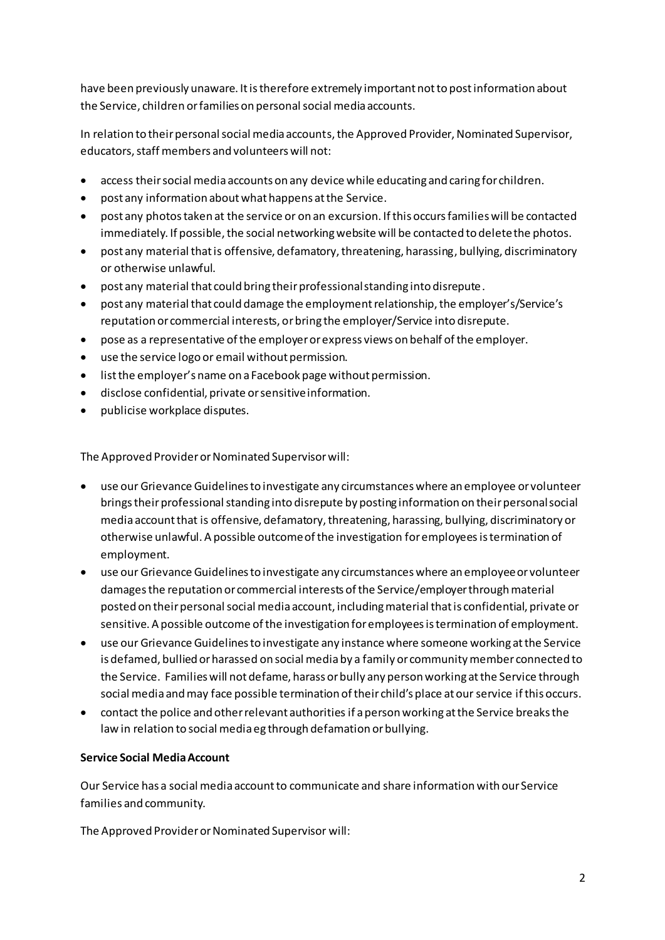have been previously unaware. It is therefore extremely important not to post information about the Service, children or families on personal social media accounts.

In relation to their personal social media accounts, the Approved Provider, Nominated Supervisor, educators, staff members and volunteers will not:

- access their social media accounts on any device while educating and caring for children.
- post any information about what happens at the Service.  $\bullet$
- post any photos taken at the service or on an excursion. If this occurs families will be contacted immediately. If possible, the social networking website will be contacted to delete the photos.
- post any material that is offensive, defamatory, threatening, harassing, bullying, discriminatory  $\bullet$ or otherwise unlawful.
- post any material that could bring their professional standing into disrepute.
- post any material that could damage the employment relationship, the employer's/Service's  $\bullet$ reputation or commercial interests, or bring the employer/Service into disrepute.
- pose as a representative of the employer or express views on behalf of the employer.  $\bullet$
- use the service logo or email without permission.  $\bullet$
- list the employer's name on a Facebook page without permission.
- · disclose confidential, private or sensitive information.
- publicise workplace disputes.  $\bullet$

The Approved Provider or Nominated Supervisor will:

- use our Grievance Guidelines to investigate any circumstances where an employee or volunteer brings their professional standing into disrepute by posting information on their personal social media account that is offensive, defamatory, threatening, harassing, bullying, discriminatory or otherwise unlawful. A possible outcome of the investigation for employees is termination of employment.
- use our Grievance Guidelines to investigate any circumstances where an employee or volunteer damages the reputation or commercial interests of the Service/employer through material posted on their personal social media account, including material that is confidential, private or sensitive. A possible outcome of the investigation for employees is termination of employment.
- use our Grievance Guidelines to investigate any instance where someone working at the Service is defamed, bullied or harassed on social media by a family or community member connected to the Service. Families will not defame, harass or bully any person working at the Service through social media and may face possible termination of their child's place at our service if this occurs.
- contact the police and other relevant authorities if a person working at the Service breaks the law in relation to social media eg through defamation or bullying.

#### **Service Social Media Account**

Our Service has a social media account to communicate and share information with our Service families and community.

The Approved Provider or Nominated Supervisor will: